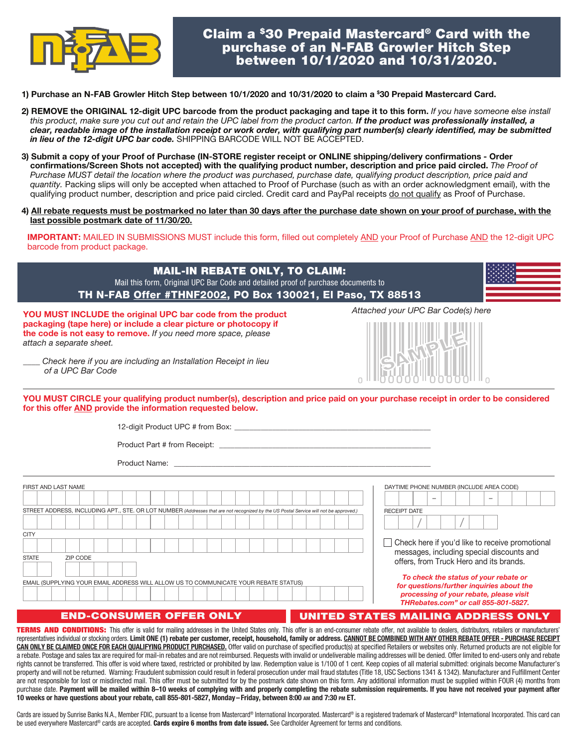

# Claim a \$30 Prepaid Mastercard® Card with the purchase of an N-FAB Growler Hitch Step between 10/1/2020 and 10/31/2020.

- 1) Purchase an N-FAB Growler Hitch Step between 10/1/2020 and 10/31/2020 to claim a \$ 30 Prepaid Mastercard Card.
- 2) REMOVE the ORIGINAL 12-digit UPC barcode from the product packaging and tape it to this form. *If you have someone else install*  this product, make sure you cut out and retain the UPC label from the product carton. If the product was professionally installed, a *clear, readable image of the installation receipt or work order, with qualifying part number(s) clearly identified, may be submitted in lieu of the 12-digit UPC bar code.* SHIPPING BARCODE WILL NOT BE ACCEPTED.
- 3) Submit a copy of your Proof of Purchase (IN-STORE register receipt or ONLINE shipping/delivery confirmations Order confirmations/Screen Shots not accepted) with the qualifying product number, description and price paid circled. *The Proof of Purchase MUST detail the location where the product was purchased, purchase date, qualifying product description, price paid and quantity.* Packing slips will only be accepted when attached to Proof of Purchase (such as with an order acknowledgment email), with the qualifying product number, description and price paid circled. Credit card and PayPal receipts do not qualify as Proof of Purchase.
- 4) All rebate requests must be postmarked no later than 30 days after the purchase date shown on your proof of purchase, with the last possible postmark date of 11/30/20.

IMPORTANT: MAILED IN SUBMISSIONS MUST include this form, filled out completely AND your Proof of Purchase AND the 12-digit UPC barcode from product package.

| <b>MAIL-IN REBATE ONLY, TO CLAIM:</b><br>Mail this form, Original UPC Bar Code and detailed proof of purchase documents to<br>TH N-FAB Offer #THNF2002, PO Box 130021, El Paso, TX 88513                                                                                                                              |                                                                                                                                                                                                                                                                                                  |  |
|-----------------------------------------------------------------------------------------------------------------------------------------------------------------------------------------------------------------------------------------------------------------------------------------------------------------------|--------------------------------------------------------------------------------------------------------------------------------------------------------------------------------------------------------------------------------------------------------------------------------------------------|--|
| YOU MUST INCLUDE the original UPC bar code from the product<br>packaging (tape here) or include a clear picture or photocopy if<br>the code is not easy to remove. If you need more space, please<br>attach a separate sheet.<br>Check here if you are including an Installation Receipt in lieu<br>of a UPC Bar Code | Attached your UPC Bar Code(s) here                                                                                                                                                                                                                                                               |  |
| YOU MUST CIRCLE your qualifying product number(s), description and price paid on your purchase receipt in order to be considered<br>for this offer AND provide the information requested below.                                                                                                                       |                                                                                                                                                                                                                                                                                                  |  |
| FIRST AND LAST NAME<br>STREET ADDRESS, INCLUDING APT., STE. OR LOT NUMBER (Addresses that are not recognized by the US Postal Service will not be approved.)<br><b>CITY</b><br><b>STATE</b><br>ZIP CODE<br>EMAIL (SUPPLYING YOUR EMAIL ADDRESS WILL ALLOW US TO COMMUNICATE YOUR REBATE STATUS)                       | DAYTIME PHONE NUMBER (INCLUDE AREA CODE)<br><b>RECEIPT DATE</b><br>Check here if you'd like to receive promotional<br>messages, including special discounts and<br>offers, from Truck Hero and its brands.<br>To check the status of your rebate or<br>for questions/further inquiries about the |  |

### END-CONSUMER OFFER ONLY

### UNITED STATES MAILING ADDRESS ONLY

*processing of your rebate, please visit THRebates.com" or call 855-801-5827.*

TERMS AND CONDITIONS: This offer is valid for mailing addresses in the United States only. This offer is an end-consumer rebate offer, not available to dealers, distributors, retailers or manufacturers' representatives individual or stocking orders. Limit ONE (1) rebate per customer, receipt, household, family or address. CANNOT BE COMBINED WITH ANY OTHER REBATE OFFER - PURCHASE RECEIPT CAN ONLY BE CLAIMED ONCE FOR EACH QUALIFYING PRODUCT PURCHASED. Offer valid on purchase of specified product(s) at specified Retailers or websites only. Returned products are not eligible for a rebate. Postage and sales tax are required for mail-in rebates and are not reimbursed. Requests with invalid or undeliverable mailing addresses will be denied. Offer limited to end-users only and rebate rights cannot be transferred. This offer is void where taxed, restricted or prohibited by law. Redemption value is 1/100 of 1 cent. Keep copies of all material submitted: originals become Manufacturer's property and will not be returned. Warning: Fraudulent submission could result in federal prosecution under mail fraud statutes (Title 18, USC Sections 1341 & 1342). Manufacturer and Fulfillment Center are not responsible for lost or misdirected mail. This offer must be submitted for by the postmark date shown on this form. Any additional information must be supplied within FOUR (4) months from purchase date. Payment will be mailed within 8–10 weeks of complying with and properly completing the rebate submission requirements. If you have not received your payment after 10 weeks or have questions about your rebate, call 855-801-5827, Monday– Friday, between 8:00 AM and 7:30 PM ET.

Cards are issued by Sunrise Banks N.A., Member FDIC, pursuant to a license from Mastercard® International Incorporated. Mastercard® is a registered trademark of Mastercard® International Incorporated. This card can be used everywhere Mastercard® cards are accepted. Cards expire 6 months from date issued. See Cardholder Agreement for terms and conditions.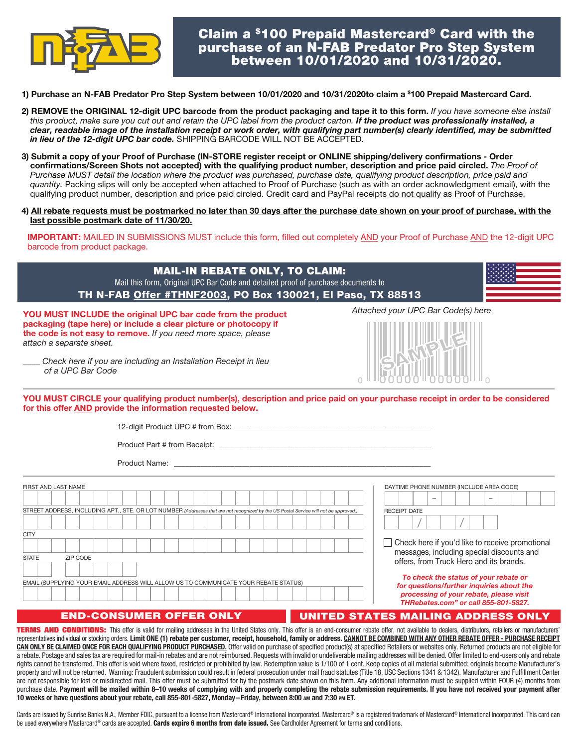

- 1) Purchase an N-FAB Predator Pro Step System between 10/01/2020 and 10/31/2020to claim a \$ 100 Prepaid Mastercard Card.
- 2) REMOVE the ORIGINAL 12-digit UPC barcode from the product packaging and tape it to this form. *If you have someone else install*  this product, make sure you cut out and retain the UPC label from the product carton. If the product was professionally installed, a *clear, readable image of the installation receipt or work order, with qualifying part number(s) clearly identified, may be submitted in lieu of the 12-digit UPC bar code.* SHIPPING BARCODE WILL NOT BE ACCEPTED.
- 3) Submit a copy of your Proof of Purchase (IN-STORE register receipt or ONLINE shipping/delivery confirmations Order confirmations/Screen Shots not accepted) with the qualifying product number, description and price paid circled. *The Proof of Purchase MUST detail the location where the product was purchased, purchase date, qualifying product description, price paid and quantity.* Packing slips will only be accepted when attached to Proof of Purchase (such as with an order acknowledgment email), with the qualifying product number, description and price paid circled. Credit card and PayPal receipts do not qualify as Proof of Purchase.
- 4) All rebate requests must be postmarked no later than 30 days after the purchase date shown on your proof of purchase, with the last possible postmark date of 11/30/20.

IMPORTANT: MAILED IN SUBMISSIONS MUST include this form, filled out completely AND your Proof of Purchase AND the 12-digit UPC barcode from product package.

| <b>MAIL-IN REBATE ONLY, TO CLAIM:</b><br>Mail this form, Original UPC Bar Code and detailed proof of purchase documents to<br>TH N-FAB Offer #THNF2003, PO Box 130021, El Paso, TX 88513                                                                                                |                                          |
|-----------------------------------------------------------------------------------------------------------------------------------------------------------------------------------------------------------------------------------------------------------------------------------------|------------------------------------------|
| YOU MUST INCLUDE the original UPC bar code from the product<br>packaging (tape here) or include a clear picture or photocopy if<br>the code is not easy to remove. If you need more space, please<br>attach a separate sheet.                                                           | Attached your UPC Bar Code(s) here       |
| Check here if you are including an Installation Receipt in lieu<br>of a UPC Bar Code<br>YOU MUST CIRCLE your qualifying product number(s), description and price paid on your purchase receipt in order to be considered<br>for this offer AND provide the information requested below. |                                          |
|                                                                                                                                                                                                                                                                                         |                                          |
|                                                                                                                                                                                                                                                                                         |                                          |
|                                                                                                                                                                                                                                                                                         |                                          |
| FIRST AND LAST NAME                                                                                                                                                                                                                                                                     | DAYTIME PHONE NUMBER (INCLUDE AREA CODE) |
| STREET ADDRESS, INCLUDING APT., STE. OR LOT NUMBER (Addresses that are not recognized by the US Postal Service will not be approved.)                                                                                                                                                   | <b>RECEIPT DATE</b>                      |
|                                                                                                                                                                                                                                                                                         |                                          |

◯ Check here if you'd like to receive promotional messages, including special discounts and offers, from Truck Hero and its brands.

*To check the status of your rebate or for questions/further inquiries about the processing of your rebate, please visit THRebates.com" or call 855-801-5827.*

### END-CONSUMER OFFER ONLY

EMAIL (SUPPLYING YOUR EMAIL ADDRESS WILL ALLOW US TO COMMUNICATE YOUR REBATE STATUS)

**CITY** 

STATE ZIP CODE

## UNITED STATES MAILING ADDRESS ONLY

TERMS AND CONDITIONS: This offer is valid for mailing addresses in the United States only. This offer is an end-consumer rebate offer, not available to dealers, distributors, retailers or manufacturers' representatives individual or stocking orders. Limit ONE (1) rebate per customer, receipt, household, family or address. CANNOT BE COMBINED WITH ANY OTHER REBATE OFFER - PURCHASE RECEIPT CAN ONLY BE CLAIMED ONCE FOR EACH QUALIFYING PRODUCT PURCHASED. Offer valid on purchase of specified product(s) at specified Retailers or websites only. Returned products are not eligible for a rebate. Postage and sales tax are required for mail-in rebates and are not reimbursed. Requests with invalid or undeliverable mailing addresses will be denied. Offer limited to end-users only and rebate rights cannot be transferred. This offer is void where taxed, restricted or prohibited by law. Redemption value is 1/100 of 1 cent. Keep copies of all material submitted: originals become Manufacturer's property and will not be returned. Warning: Fraudulent submission could result in federal prosecution under mail fraud statutes (Title 18, USC Sections 1341 & 1342). Manufacturer and Fulfillment Center are not responsible for lost or misdirected mail. This offer must be submitted for by the postmark date shown on this form. Any additional information must be supplied within FOUR (4) months from purchase date. Payment will be mailed within 8–10 weeks of complying with and properly completing the rebate submission requirements. If you have not received your payment after 10 weeks or have questions about your rebate, call 855-801-5827, Monday– Friday, between 8:00 AM and 7:30 PM ET.

Cards are issued by Sunrise Banks N.A., Member FDIC, pursuant to a license from Mastercard® International Incorporated. Mastercard® is a registered trademark of Mastercard® International Incorporated. This card can be used everywhere Mastercard® cards are accepted. Cards expire 6 months from date issued. See Cardholder Agreement for terms and conditions.